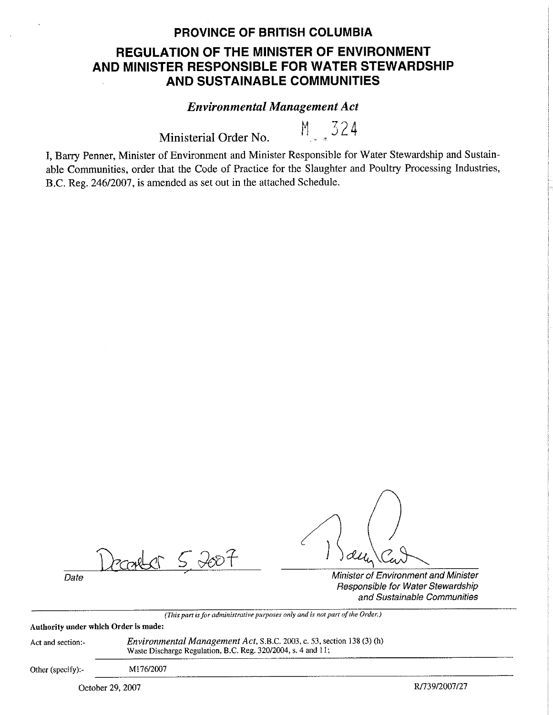## **PROVINCE OF BRITISH COLUMBIA**

# **REGULATION OF THE MINISTER OF ENVIRONMENT AND MINISTER RESPONSIBLE FOR WATER STEWARDSHIP AND SUSTAINABLE COMMUNITIES**

## *Environmental Management Act*

Ministerial Order No.  $M = 324$ 

I, Barry Penner, Minister of Environment and Minister Responsible for Water Stewardship and Sustainable Communities, order that the Code of Practice for the Slaughter and Poultry Processing Industries, B.C. Reg. 246/2007, is amended as set out in the attached Schedule.

 $5,2007$ 

Date **Date** Minister of Environment and Minister Responsible for Water Stewardship and Sustainable Communities

*(This part is for administrative purposes only and is not part of the Order.)* 

**Authority under which Order is made:** 

Act and section:~

*Environmental Management Act,* S.B.C. 2003, c. 53, section 138 (3) (h) Waste Discharge Regulation, B.C. Reg. 320/2004, s. 4 and 11;

Other (specify):-

Ml76/2007

October 29, 2007 R/739/2007/27